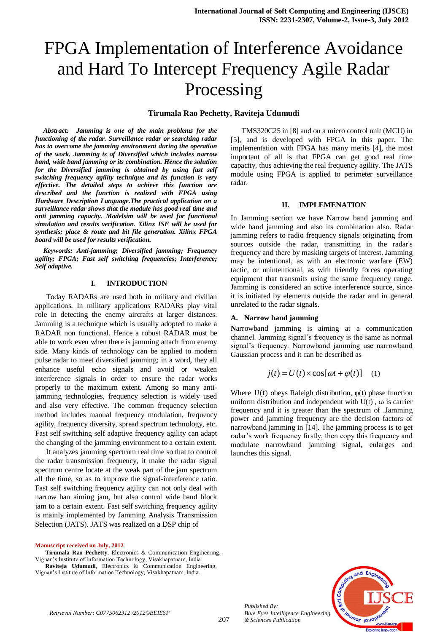# **Tirumala Rao Pechetty, Raviteja Udumudi**

*Abstract: Jamming is one of the main problems for the functioning of the radar. Surveillance radar or searching radar has to overcome the jamming environment during the operation of the work. Jamming is of Diversified which includes narrow band, wide band jamming or its combination. Hence the solution for the Diversified jamming is obtained by using fast self switching frequency agility technique and its function is very effective. The detailed steps to achieve this function are described and the function is realized with FPGA using Hardware Description Language.The practical application on a surveillance radar shows that the module has good real time and anti jamming capacity. Modelsim will be used for functional simulation and results verification. Xilinx ISE will be used for synthesis; place & route and bit file generation. Xilinx FPGA board will be used for results verification.* 

*Keywords: Anti-jamming; Diversified jamming; Frequency agility; FPGA; Fast self switching frequencies; Interference; Self adaptive.*

## **I. INTRODUCTION**

Today RADARs are used both in military and civilian applications. In military applications RADARs play vital role in detecting the enemy aircrafts at larger distances. Jamming is a technique which is usually adopted to make a RADAR non functional. Hence a robust RADAR must be able to work even when there is jamming attach from enemy side. Many kinds of technology can be applied to modern pulse radar to meet diversified jamming; in a word, they all enhance useful echo signals and avoid or weaken interference signals in order to ensure the radar works properly to the maximum extent. Among so many antijamming technologies, frequency selection is widely used and also very effective. The common frequency selection method includes manual frequency modulation, frequency agility, frequency diversity, spread spectrum technology, etc. Fast self switching self adaptive frequency agility can adapt the changing of the jamming environment to a certain extent.

It analyzes jamming spectrum real time so that to control the radar transmission frequency, it make the radar signal spectrum centre locate at the weak part of the jam spectrum all the time, so as to improve the signal-interference ratio. Fast self switching frequency agility can not only deal with narrow ban aiming jam, but also control wide band block jam to a certain extent. Fast self switching frequency agility is mainly implemented by Jamming Analysis Transmission Selection (JATS). JATS was realized on a DSP chip of

**Raviteja Udumudi**, Electronics & Communication Engineering, Vignan's Institute of Information Technology, Visakhapatnam, India.

TMS320C25 in [8] and on a micro control unit (MCU) in [5], and is developed with FPGA in this paper. The implementation with FPGA has many merits [4], the most important of all is that FPGA can get good real time capacity, thus achieving the real frequency agility. The JATS module using FPGA is applied to perimeter surveillance radar.

## **II. IMPLEMENATION**

In Jamming section we have Narrow band jamming and wide band jamming and also its combination also. Radar jamming refers to radio frequency signals originating from sources outside the radar, transmitting in the radar's frequency and there by masking targets of interest. Jamming may be intentional, as with an electronic warfare (EW) tactic, or unintentional, as with friendly forces operating equipment that transmits using the same frequency range. Jamming is considered an active interference source, since it is initiated by elements outside the radar and in general unrelated to the radar signals.

## **A. Narrow band jamming**

**N**arrowband jamming is aiming at a communication channel. Jamming signal's frequency is the same as normal signal's frequency. Narrowband jamming use narrowband Gaussian process and it can be described as

$$
j(t) = U(t) \times \cos[\omega t + \varphi(t)] \quad (1)
$$

Where  $U(t)$  obeys Raleigh distribution,  $\varphi(t)$  phase function uniform distribution and independent with  $U(t)$ ,  $\omega$  is carrier frequency and it is greater than the spectrum of .Jamming power and jamming frequency are the decision factors of narrowband jamming in [14]. The jamming process is to get radar's work frequency firstly, then copy this frequency and modulate narrowband jamming signal, enlarges and launches this signal.



*Retrieval Number: C0775062312 /2012©BEIESP*

*Published By:*

**Manuscript received on July, 2012**.

**Tirumala Rao Pechetty**, Electronics & Communication Engineering, Vignan's Institute of Information Technology, Visakhapatnam, India.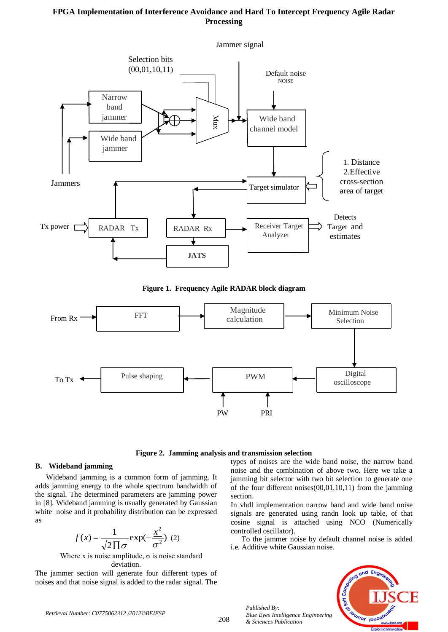

**Figure 1. Frequency Agile RADAR block diagram**





## **B. Wideband jamming**

Wideband jamming is a common form of jamming. It adds jamming energy to the whole spectrum bandwidth of the signal. The determined parameters are jamming power in [8]. Wideband jamming is usually generated by Gaussian white noise and it probability distribution can be expressed as

$$
f(x) = \frac{1}{\sqrt{2\prod \sigma}} \exp(-\frac{x^2}{\sigma^2}) \tag{2}
$$

Where x is noise amplitude,  $\sigma$  is noise standard deviation.

The jammer section will generate four different types of noises and that noise signal is added to the radar signal. The

types of noises are the wide band noise, the narrow band noise and the combination of above two. Here we take a jamming bit selector with two bit selection to generate one of the four different noises(00,01,10,11) from the jamming section.

In vhdl implementation narrow band and wide band noise signals are generated using randn look up table, of that cosine signal is attached using NCO (Numerically controlled oscillator).

To the jammer noise by default channel noise is added i.e. Additive white Gaussian noise.



*Published By:*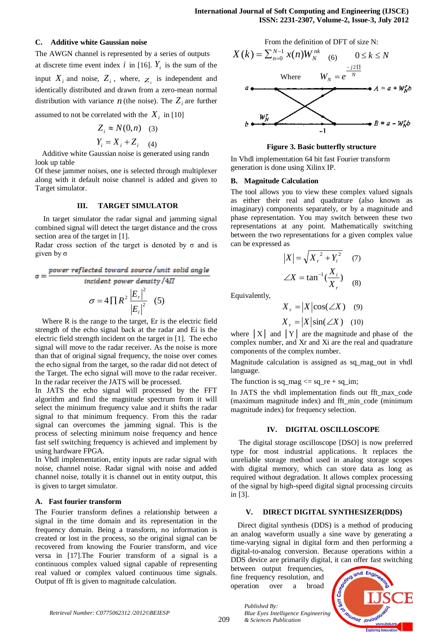## **C. Additive white Gaussian noise**

The AWGN channel is represented by a series of outputs at discrete time event index  $i$  in [16].  $Y_i$  is the sum of the input  $X_i$  and noise,  $Z_i$ , where,  $Z_i$  is independent and identically distributed and drawn from a zero-mean [normal](http://en.wikipedia.org/wiki/Normal_distribution) [distribution](http://en.wikipedia.org/wiki/Normal_distribution) with [variance](http://en.wikipedia.org/wiki/Variance)  $n$  (the noise). The  $Z_i$  are further

assumed to not be correlated with the  $X_i$  in [10]

$$
Z_i \approx N(0, n) \quad (3)
$$

$$
Y_i = X_i + Z_i \quad (4)
$$

Additive white Gaussian noise is generated using randn look up table

Of these jammer noises, one is selected through multiplexer along with it default noise channel is added and given to Target simulator.

## **III. TARGET SIMULATOR**

In target simulator the radar signal and jamming signal combined signal will detect the target distance and the cross section area of the target in [1].

Radar cross section of the target is denoted by  $\sigma$  and is given by σ

$$
\sigma = \frac{power \ reflected \ toward \ source / unit \ solid \ angle}{incident \ power \ density / 4\pi}
$$

$$
\sigma = 4 \prod R^2 \frac{|E_r|^2}{|E_i|^2} \quad (5)
$$

Where R is the range to the target, Er is the electric field strength of the echo signal back at the radar and Ei is the electric field strength incident on the target in [1]. The echo signal will move to the radar receiver. As the noise is more than that of original signal frequency, the noise over comes the echo signal from the target, so the radar did not detect of the Target. The echo signal will move to the radar receiver. In the radar receiver the JATS will be processed.

In JATS the echo signal will processed by the FFT algorithm and find the magnitude spectrum from it will select the minimum frequency value and it shifts the radar signal to that minimum frequency. From this the radar signal can overcomes the jamming signal. This is the process of selecting minimum noise frequency and hence fast self switching frequency is achieved and implement by using hardware FPGA.

In Vhdl implementation, entity inputs are radar signal with noise, channel noise. Radar signal with noise and added channel noise, totally it is channel out in entity output, this is given to target simulator.

# **A. Fast fourier transform**

The Fourier transform defines a relationship between a signal in the time domain and its representation in the frequency domain. Being a transform, no information is created or lost in the process, so the original signal can be recovered from knowing the Fourier transform, and vice versa in [17].The Fourier transform of a signal is a continuous complex valued signal capable of representing real valued or complex valued continuous time signals. Output of fft is given to magnitude calculation.

From the definition of DFT of size N:



#### **Figure 3. Basic butterfly structure**

In Vhdl implementation 64 bit fast Fourier transform generation is done using Xilinx IP.

#### **B. Magnitude Calculation**

The tool allows you to view these complex valued signals as either their real and quadrature (also known as imaginary) components separately, or by a magnitude and phase representation. You may switch between these two representations at any point. Mathematically switching between the two representations for a given complex value can be expressed as

$$
|X| = \sqrt{X_r^2 + Y_i^2} \quad (7)
$$
  

$$
\angle X = \tan^{-1}(\frac{X_i}{X_r}) \quad (8)
$$

Equivalently,

$$
X_r = |X|\cos(\angle X) \quad (9)
$$

$$
X_r = |X|\sin(\angle X) \quad (10)
$$

where  $|X|$  and  $|Y|$  are the magnitude and phase of the complex number, and Xr and Xi are the real and quadrature components of the complex number.

Magnitude calculation is assigned as sq\_mag\_out in vhdl language.

The function is  $sq_{mag} \leq sq_{re} + sq_{im};$ 

In JATS the vhdl implementation finds out fft\_max\_code (maximum magnitude index) and fft\_min\_code (minimum magnitude index) for frequency selection.

#### **IV. DIGITAL OSCILLOSCOPE**

The digital storage oscilloscope [DSO] is now preferred type for most industrial applications. It replaces the unreliable storage method used in analog storage scopes with digital memory, which can store data as long as required without degradation. It allows complex processing of the signal by high-speed digital signal processing circuits in [3].

# **V. DIRECT DIGITAL SYNTHESIZER(DDS)**

Direct digital synthesis (DDS) is a method of producing an analog waveform usually a sine wave by generating a time-varying signal in digital form and then performing a digital-to-analog conversion. Because operations within a DDS device are primarily digital, it can offer fast switching

between output frequencies, fine frequency resolution, and operation over a broad

*Published By:*

*& Sciences Publication* 



*Retrieval Number: C0775062312 /2012©BEIESP*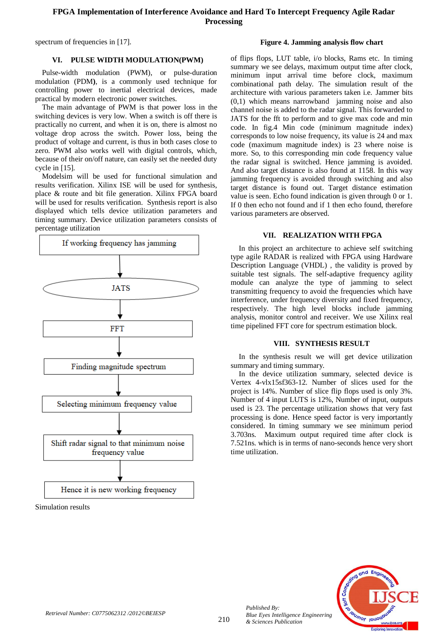spectrum of frequencies in [17].

## **Figure 4. Jamming analysis flow chart**

# **VI. PULSE WIDTH MODULATION(PWM)**

Pulse-width modulation (PWM), or pulse-duration modulation (PDM**)**, is a commonly used technique for controlling power to inertial electrical devices, made practical by modern electronic power switches.

The main advantage of PWM is that power loss in the switching devices is very low. When a switch is off there is practically no current, and when it is on, there is almost no voltage drop across the switch. Power loss, being the product of voltage and current, is thus in both cases close to zero. PWM also works well with digital controls, which, because of their on/off nature, can easily set the needed duty cycle in [15].

Modelsim will be used for functional simulation and results verification. Xilinx ISE will be used for synthesis, place & route and bit file generation. Xilinx FPGA board will be used for results verification. Synthesis report is also displayed which tells device utilization parameters and timing summary. Device utilization parameters consists of percentage utilization



Simulation results

of flips flops, LUT table, i/o blocks, Rams etc. In timing summary we see delays, maximum output time after clock, minimum input arrival time before clock, maximum combinational path delay. The simulation result of the architecture with various parameters taken i.e. Jammer bits (0,1) which means narrowband jamming noise and also channel noise is added to the radar signal. This forwarded to JATS for the fft to perform and to give max code and min code. In fig.4 Min code (minimum magnitude index) corresponds to low noise frequency, its value is 24 and max code (maximum magnitude index) is 23 where noise is more. So, to this corresponding min code frequency value the radar signal is switched. Hence jamming is avoided. And also target distance is also found at 1158. In this way jamming frequency is avoided through switching and also target distance is found out. Target distance estimation value is seen. Echo found indication is given through 0 or 1. If 0 then echo not found and if 1 then echo found, therefore various parameters are observed.

# **VII. REALIZATION WITH FPGA**

In this project an architecture to achieve self switching type agile RADAR is realized with FPGA using Hardware Description Language (VHDL) , the validity is proved by suitable test signals. The self-adaptive frequency agility module can analyze the type of jamming to select transmitting frequency to avoid the frequencies which have interference, under frequency diversity and fixed frequency, respectively. The high level blocks include jamming analysis, monitor control and receiver. We use Xilinx real time pipelined FFT core for spectrum estimation block.

## **VIII. SYNTHESIS RESULT**

In the synthesis result we will get device utilization summary and timing summary.

In the device utilization summary, selected device is Vertex 4-vlx15sf363-12. Number of slices used for the project is 14%. Number of slice flip flops used is only 3%. Number of 4 input LUTS is 12%, Number of input, outputs used is 23. The percentage utilization shows that very fast processing is done. Hence speed factor is very importantly considered. In timing summary we see minimum period 3.703ns. Maximum output required time after clock is 7.521ns. which is in terms of nano-seconds hence very short time utilization.



*Published By:*

*& Sciences Publication* 

*Blue Eyes Intelligence Engineering*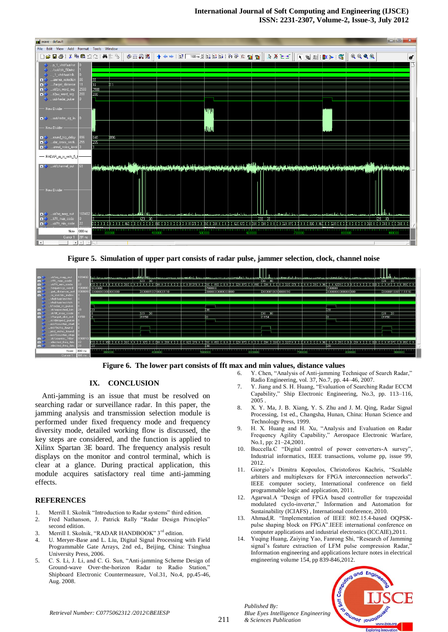

**Figure 5. Simulation of upper part consists of radar pulse, jammer selection, clock, channel noise**



**Figure 6. The lower part consists of fft max and min values, distance values**

# **IX. CONCLUSION**

Anti-jamming is an issue that must be resolved on searching radar or surveillance radar. In this paper, the jamming analysis and transmission selection module is performed under fixed frequency mode and frequency diversity mode, detailed working flow is discussed, the key steps are considered, and the function is applied to Xilinx Spartan 3E board. The frequency analysis result displays on the monitor and control terminal, which is clear at a glance. During practical application, this module acquires satisfactory real time anti-jamming effects.

# **REFERENCES**

- 1. Merrill I. Skolnik "Introduction to Radar systems" third edition.
- 2. Fred Nathanson, J. Patrick Rally "Radar Design Principles" second edition.
- 3. Merrill I. Skolnik, "RADAR HANDBOOK" 3<sup>rd</sup> edition.
- 4. U. Meryer-Base and L. Liu, Digital Signal Processing with Field Programmable Gate Arrays, 2nd ed., Beijing, China: Tsinghua University Press, 2006.
- 5. C. S. Li, J. Li, and C. G. Sun, "Anti-jamming Scheme Design of Ground-wave Over-the-horizon Radar to Radio Station," Shipboard Electronic Countermeasure, Vol.31, No.4, pp.45-46, Aug. 2008.
- 6. Y. Chen, "Analysis of Anti-jamming Technique of Search Radar," Radio Engineering, vol. 37, No.7, pp. 44–46, 2007.
- 7. Y. Jiang and S. H. Huang, "Evaluation of Searching Radar ECCM Capability," Ship Electronic Engineering, No.3, pp. 113–116, 2005 .
- 8. X. Y. Ma, J. B. Xiang, Y. S. Zhu and J. M. Qing, Radar Signal Processing, 1st ed., Changsha, Hunan, China: Hunan Science and Technology Press, 1999.
- 9. H. X. Huang and H. Xu, "Analysis and Evaluation on Radar Frequency Agility Capability," Aerospace Electronic Warfare, No.1, pp: 21–24,2001.
- 10. Buccella.C "Digital control of power converters-A survey", Industrial informatics, IEEE transactions, volume pp, issue 99, 2012.
- 11. Giorgio's Dimitra Kopoulos, Christoforos Kachris, "Scalable arbiters and multiplexers for FPGA interconnection networks". IEEE computer society, International conference on field programmable logic and application, 2011.
- 12. Agarwal.A "Design of FPGA based controller for trapezoidal modulated cyclo-inverter," Information and Automation for Sustainability (ICIAFS) , International conference, 2010.
- 13. Ahmad,R. "Implementation of IEEE 802.15.4-based OQPSKpulse shaping block on FPGA".IEEE international conference on computer applications and industrial electronics (ICCAIE),2011.
- 14. Yuqing Huang, Zaiying Yao, Fanrong Shi, "Research of Jamming signal's feature extraction of LFM pulse compression Radar, Information engineering and applications lecture notes in electrical engineering volume 154, pp 839-846,2012.



*Published By:*